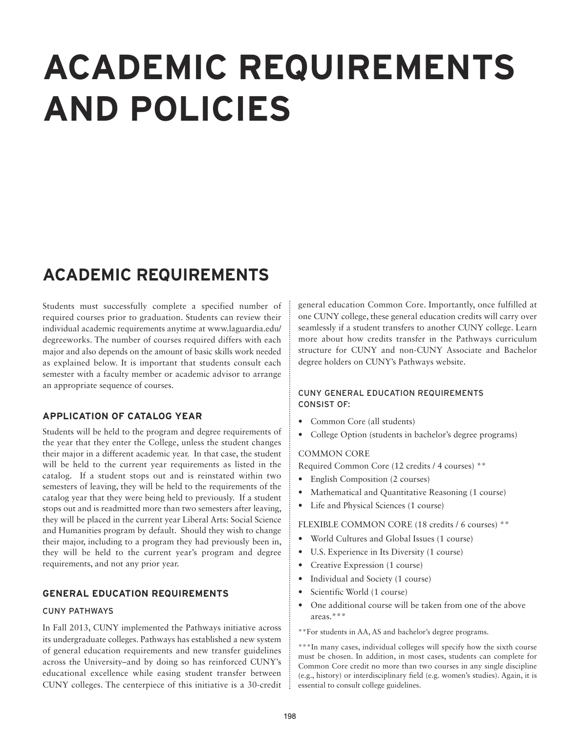# **ACADEMIC REQUIREMENTS AND POLICIES**

# **ACADEMIC REQUIREMENTS**

Students must successfully complete a specified number of required courses prior to graduation. Students can review their individual academic requirements anytime at www.laguardia.edu/ degreeworks. The number of courses required differs with each major and also depends on the amount of basic skills work needed as explained below. It is important that students consult each semester with a faculty member or academic advisor to arrange an appropriate sequence of courses.

# **APPLICATION OF CATALOG YEAR**

Students will be held to the program and degree requirements of the year that they enter the College, unless the student changes their major in a different academic year. In that case, the student will be held to the current year requirements as listed in the catalog. If a student stops out and is reinstated within two semesters of leaving, they will be held to the requirements of the catalog year that they were being held to previously. If a student stops out and is readmitted more than two semesters after leaving, they will be placed in the current year Liberal Arts: Social Science and Humanities program by default. Should they wish to change their major, including to a program they had previously been in, they will be held to the current year's program and degree requirements, and not any prior year.

# **GENERAL EDUCATION REQUIREMENTS**

# CUNY PATHWAYS

In Fall 2013, CUNY implemented the Pathways initiative across its undergraduate colleges. Pathways has established a new system of general education requirements and new transfer guidelines across the University–and by doing so has reinforced CUNY's educational excellence while easing student transfer between CUNY colleges. The centerpiece of this initiative is a 30-credit general education Common Core. Importantly, once fulfilled at one CUNY college, these general education credits will carry over seamlessly if a student transfers to another CUNY college. Learn more about how credits transfer in the Pathways curriculum structure for CUNY and non-CUNY Associate and Bachelor degree holders on CUNY's Pathways website.

# CUNY GENERAL EDUCATION REQUIREMENTS CONSIST OF:

- Common Core (all students)
- College Option (students in bachelor's degree programs)

# COMMON CORE

Required Common Core (12 credits / 4 courses) \*\*

- English Composition (2 courses)
- Mathematical and Quantitative Reasoning (1 course)
- Life and Physical Sciences (1 course)

FLEXIBLE COMMON CORE (18 credits / 6 courses) \*\*

- World Cultures and Global Issues (1 course)
- U.S. Experience in Its Diversity (1 course)
- Creative Expression (1 course)
- Individual and Society (1 course)
- Scientific World (1 course)
- One additional course will be taken from one of the above areas.\*\*\*

\*\*For students in AA, AS and bachelor's degree programs.

\*\*\*In many cases, individual colleges will specify how the sixth course must be chosen. In addition, in most cases, students can complete for Common Core credit no more than two courses in any single discipline (e.g., history) or interdisciplinary field (e.g. women's studies). Again, it is essential to consult college guidelines.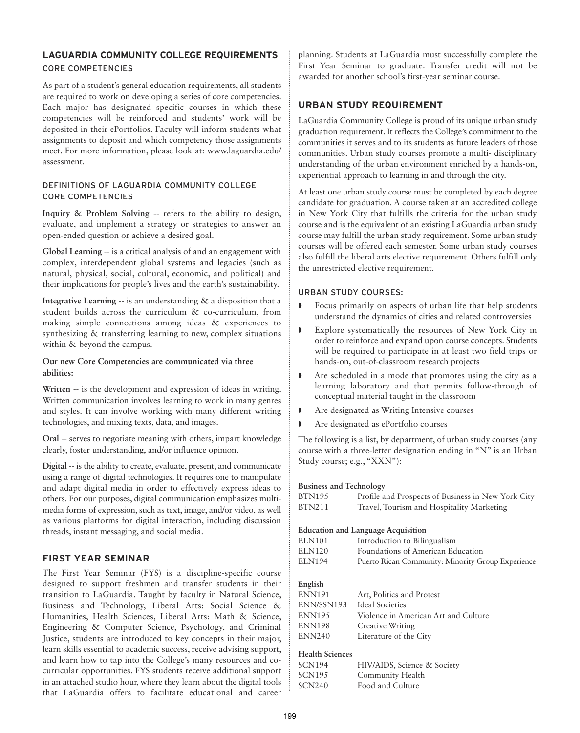# **LAGUARDIA COMMUNITY COLLEGE REQUIREMENTS** CORE COMPETENCIES

As part of a student's general education requirements, all students are required to work on developing a series of core competencies. Each major has designated specific courses in which these competencies will be reinforced and students' work will be deposited in their ePortfolios. Faculty will inform students what assignments to deposit and which competency those assignments meet. For more information, please look at: www.laguardia.edu/ assessment.

#### DEFINITIONS OF LAGUARDIA COMMUNITY COLLEGE CORE COMPETENCIES

**Inquiry & Problem Solving** -- refers to the ability to design, evaluate, and implement a strategy or strategies to answer an open-ended question or achieve a desired goal.

**Global Learning** -- is a critical analysis of and an engagement with complex, interdependent global systems and legacies (such as natural, physical, social, cultural, economic, and political) and their implications for people's lives and the earth's sustainability.

**Integrative Learning** -- is an understanding & a disposition that a student builds across the curriculum & co-curriculum, from making simple connections among ideas & experiences to synthesizing & transferring learning to new, complex situations within & beyond the campus.

#### **Our new Core Competencies are communicated via three abilities:**

**Written** -- is the development and expression of ideas in writing. Written communication involves learning to work in many genres and styles. It can involve working with many different writing technologies, and mixing texts, data, and images.

**Oral** -- serves to negotiate meaning with others, impart knowledge clearly, foster understanding, and/or influence opinion.

**Digital** -- is the ability to create, evaluate, present, and communicate using a range of digital technologies. It requires one to manipulate and adapt digital media in order to effectively express ideas to others. For our purposes, digital communication emphasizes multimedia forms of expression, such as text, image, and/or video, as well as various platforms for digital interaction, including discussion threads, instant messaging, and social media.

# **FIRST YEAR SEMINAR**

The First Year Seminar (FYS) is a discipline-specific course designed to support freshmen and transfer students in their transition to LaGuardia. Taught by faculty in Natural Science, Business and Technology, Liberal Arts: Social Science & Humanities, Health Sciences, Liberal Arts: Math & Science, Engineering & Computer Science, Psychology, and Criminal Justice, students are introduced to key concepts in their major, learn skills essential to academic success, receive advising support, and learn how to tap into the College's many resources and cocurricular opportunities. FYS students receive additional support in an attached studio hour, where they learn about the digital tools that LaGuardia offers to facilitate educational and career

planning. Students at LaGuardia must successfully complete the First Year Seminar to graduate. Transfer credit will not be awarded for another school's first-year seminar course.

# **URBAN STUDY REQUIREMENT**

LaGuardia Community College is proud of its unique urban study graduation requirement. It reflects the College's commitment to the communities it serves and to its students as future leaders of those communities. Urban study courses promote a multi- disciplinary understanding of the urban environment enriched by a hands-on, experiential approach to learning in and through the city.

At least one urban study course must be completed by each degree candidate for graduation. A course taken at an accredited college in New York City that fulfills the criteria for the urban study course and is the equivalent of an existing LaGuardia urban study course may fulfill the urban study requirement. Some urban study courses will be offered each semester. Some urban study courses also fulfill the liberal arts elective requirement. Others fulfill only the unrestricted elective requirement.

#### URBAN STUDY COURSES:

- Focus primarily on aspects of urban life that help students understand the dynamics of cities and related controversies
- Explore systematically the resources of New York City in order to reinforce and expand upon course concepts. Students will be required to participate in at least two field trips or hands-on, out-of-classroom research projects
- Are scheduled in a mode that promotes using the city as a learning laboratory and that permits follow-through of conceptual material taught in the classroom
- Are designated as Writing Intensive courses
- **•** Are designated as ePortfolio courses

The following is a list, by department, of urban study courses (any course with a three-letter designation ending in "N" is an Urban Study course; e.g., "XXN"):

#### **Business and Technology**

| <b>BTN195</b>                                   | Profile and Prospects of Business in New York City                                                                                                                  |
|-------------------------------------------------|---------------------------------------------------------------------------------------------------------------------------------------------------------------------|
| <b>BTN211</b>                                   | Travel, Tourism and Hospitality Marketing                                                                                                                           |
| <b>ELN101</b><br><b>ELN120</b><br><b>ELN194</b> | <b>Education and Language Acquisition</b><br>Introduction to Bilingualism<br>Foundations of American Education<br>Puerto Rican Community: Minority Group Experience |

# **English**

| ENN191        | Art, Politics and Protest            |
|---------------|--------------------------------------|
| ENN/SSN193    | <b>Ideal Societies</b>               |
| <b>ENN195</b> | Violence in American Art and Culture |
| ENN198        | Creative Writing                     |
| ENN240        | Literature of the City               |

# **Health Sciences**

| SCN194 | HIV/AIDS, Science & Society |
|--------|-----------------------------|
| SCN195 | Community Health            |
| SCN240 | Food and Culture            |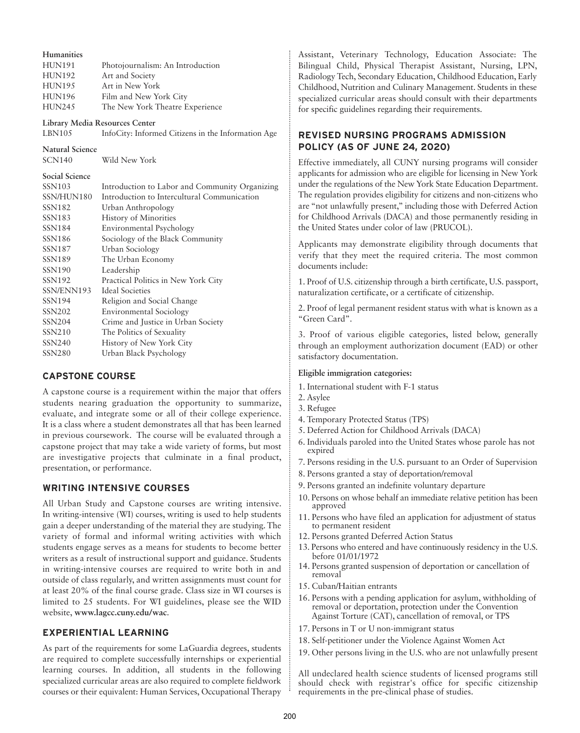| <b>Humanities</b>      |                                                    |  |  |  |
|------------------------|----------------------------------------------------|--|--|--|
| <b>HUN191</b>          | Photojournalism: An Introduction                   |  |  |  |
| <b>HUN192</b>          | Art and Society                                    |  |  |  |
| <b>HUN195</b>          | Art in New York                                    |  |  |  |
| <b>HUN196</b>          | Film and New York City                             |  |  |  |
| <b>HUN245</b>          | The New York Theatre Experience                    |  |  |  |
|                        | Library Media Resources Center                     |  |  |  |
| <b>LBN105</b>          | InfoCity: Informed Citizens in the Information Age |  |  |  |
| <b>Natural Science</b> |                                                    |  |  |  |
| <b>SCN140</b>          | Wild New York                                      |  |  |  |
| <b>Social Science</b>  |                                                    |  |  |  |
| <b>SSN103</b>          | Introduction to Labor and Community Organizing     |  |  |  |
| SSN/HUN180             | Introduction to Intercultural Communication        |  |  |  |
| SSN182                 | Urban Anthropology                                 |  |  |  |
| SSN183                 | History of Minorities                              |  |  |  |
| SSN184                 | Environmental Psychology                           |  |  |  |
| SSN <sub>186</sub>     | Sociology of the Black Community                   |  |  |  |
| SSN187                 | Urban Sociology                                    |  |  |  |
| SSN <sub>189</sub>     | The Urban Economy                                  |  |  |  |
| SSN <sub>190</sub>     | Leadership                                         |  |  |  |
| <b>SSN192</b>          | Practical Politics in New York City                |  |  |  |
| SSN/ENN193             | <b>Ideal Societies</b>                             |  |  |  |
| <b>SSN194</b>          | Religion and Social Change                         |  |  |  |
| <b>SSN202</b>          | <b>Environmental Sociology</b>                     |  |  |  |
| <b>SSN204</b>          | Crime and Justice in Urban Society                 |  |  |  |
| SSN210                 | The Politics of Sexuality                          |  |  |  |
| <b>SSN240</b>          | History of New York City                           |  |  |  |

# **CAPSTONE COURSE**

SSN280 Urban Black Psychology

A capstone course is a requirement within the major that offers students nearing graduation the opportunity to summarize, evaluate, and integrate some or all of their college experience. It is a class where a student demonstrates all that has been learned in previous coursework. The course will be evaluated through a capstone project that may take a wide variety of forms, but most are investigative projects that culminate in a final product, presentation, or performance.

# **WRITING INTENSIVE COURSES**

All Urban Study and Capstone courses are writing intensive. In writing-intensive (WI) courses, writing is used to help students gain a deeper understanding of the material they are studying. The variety of formal and informal writing activities with which students engage serves as a means for students to become better writers as a result of instructional support and guidance. Students in writing-intensive courses are required to write both in and outside of class regularly, and written assignments must count for at least 20% of the final course grade. Class size in WI courses is limited to 25 students. For WI guidelines, please see the WID website, **www.lagcc.cuny.edu/wac**.

# **EXPERIENTIAL LEARNING**

As part of the requirements for some LaGuardia degrees, students are required to complete successfully internships or experiential learning courses. In addition, all students in the following specialized curricular areas are also required to complete fieldwork courses or their equivalent: Human Services, Occupational Therapy Assistant, Veterinary Technology, Education Associate: The Bilingual Child, Physical Therapist Assistant, Nursing, LPN, Radiology Tech, Secondary Education, Childhood Education, Early Childhood, Nutrition and Culinary Management. Students in these specialized curricular areas should consult with their departments for specific guidelines regarding their requirements.

# **REVISED NURSING PROGRAMS ADMISSION POLICY (AS OF JUNE 24, 2020)**

Effective immediately, all CUNY nursing programs will consider applicants for admission who are eligible for licensing in New York under the regulations of the New York State Education Department. The regulation provides eligibility for citizens and non-citizens who are "not unlawfully present," including those with Deferred Action for Childhood Arrivals (DACA) and those permanently residing in the United States under color of law (PRUCOL).

Applicants may demonstrate eligibility through documents that verify that they meet the required criteria. The most common documents include:

1. Proof of U.S. citizenship through a birth certificate, U.S. passport, naturalization certificate, or a certificate of citizenship.

2. Proof of legal permanent resident status with what is known as a "Green Card".

3. Proof of various eligible categories, listed below, generally through an employment authorization document (EAD) or other satisfactory documentation.

#### **Eligible immigration categories:**

- 1. International student with F-1 status
- 2. Asylee
- 3. Refugee
- 4. Temporary Protected Status (TPS)
- 5. Deferred Action for Childhood Arrivals (DACA)
- 6. Individuals paroled into the United States whose parole has not expired
- 7. Persons residing in the U.S. pursuant to an Order of Supervision
- 8. Persons granted a stay of deportation/removal
- 9. Persons granted an indefinite voluntary departure
- 10. Persons on whose behalf an immediate relative petition has been approved
- 11. Persons who have filed an application for adjustment of status to permanent resident
- 12. Persons granted Deferred Action Status
- 13. Persons who entered and have continuously residency in the U.S. before 01/01/1972
- 14. Persons granted suspension of deportation or cancellation of removal
- 15. Cuban/Haitian entrants
- 16. Persons with a pending application for asylum, withholding of removal or deportation, protection under the Convention Against Torture (CAT), cancellation of removal, or TPS
- 17. Persons in T or U non-immigrant status
- 18. Self-petitioner under the Violence Against Women Act
- 19. Other persons living in the U.S. who are not unlawfully present

All undeclared health science students of licensed programs still should check with registrar's office for specific citizenship requirements in the pre-clinical phase of studies.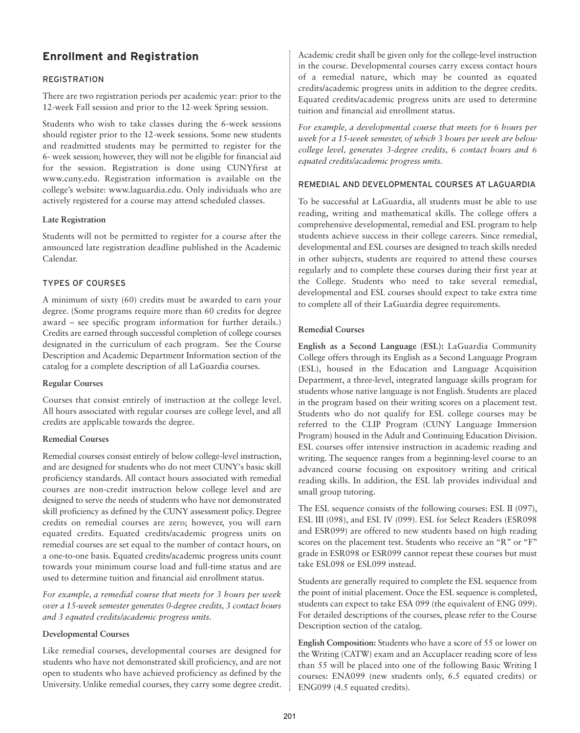# **Enrollment and Registration**

# REGISTRATION

There are two registration periods per academic year: prior to the 12-week Fall session and prior to the 12-week Spring session.

Students who wish to take classes during the 6-week sessions should register prior to the 12-week sessions. Some new students and readmitted students may be permitted to register for the 6- week session; however, they will not be eligible for financial aid for the session. Registration is done using CUNYfirst at www.cuny.edu. Registration information is available on the college's website: www.laguardia.edu. Only individuals who are actively registered for a course may attend scheduled classes.

# **Late Registration**

Students will not be permitted to register for a course after the announced late registration deadline published in the Academic Calendar.

# TYPES OF COURSES

A minimum of sixty (60) credits must be awarded to earn your degree. (Some programs require more than 60 credits for degree award – see specific program information for further details.) Credits are earned through successful completion of college courses designated in the curriculum of each program. See the Course Description and Academic Department Information section of the catalog for a complete description of all LaGuardia courses.

#### **Regular Courses**

Courses that consist entirely of instruction at the college level. All hours associated with regular courses are college level, and all credits are applicable towards the degree.

#### **Remedial Courses**

Remedial courses consist entirely of below college-level instruction, and are designed for students who do not meet CUNY's basic skill proficiency standards. All contact hours associated with remedial courses are non-credit instruction below college level and are designed to serve the needs of students who have not demonstrated skill proficiency as defined by the CUNY assessment policy. Degree credits on remedial courses are zero; however, you will earn equated credits. Equated credits/academic progress units on remedial courses are set equal to the number of contact hours, on a one-to-one basis. Equated credits/academic progress units count towards your minimum course load and full-time status and are used to determine tuition and financial aid enrollment status.

*For example, a remedial course that meets for 3 hours per week over a 15-week semester generates 0-degree credits, 3 contact hours and 3 equated credits/academic progress units.*

# **Developmental Courses**

Like remedial courses, developmental courses are designed for students who have not demonstrated skill proficiency, and are not open to students who have achieved proficiency as defined by the University. Unlike remedial courses, they carry some degree credit. Academic credit shall be given only for the college-level instruction in the course. Developmental courses carry excess contact hours of a remedial nature, which may be counted as equated credits/academic progress units in addition to the degree credits. Equated credits/academic progress units are used to determine tuition and financial aid enrollment status.

*For example, a developmental course that meets for 6 hours per week for a 15-week semester, of which 3 hours per week are below college level, generates 3-degree credits, 6 contact hours and 6 equated credits/academic progress units.*

#### REMEDIAL AND DEVELOPMENTAL COURSES AT LAGUARDIA

To be successful at LaGuardia, all students must be able to use reading, writing and mathematical skills. The college offers a comprehensive developmental, remedial and ESL program to help students achieve success in their college careers. Since remedial, developmental and ESL courses are designed to teach skills needed in other subjects, students are required to attend these courses regularly and to complete these courses during their first year at the College. Students who need to take several remedial, developmental and ESL courses should expect to take extra time to complete all of their LaGuardia degree requirements.

#### **Remedial Courses**

**English as a Second Language (ESL):** LaGuardia Community College offers through its English as a Second Language Program (ESL), housed in the Education and Language Acquisition Department, a three-level, integrated language skills program for students whose native language is not English. Students are placed in the program based on their writing scores on a placement test. Students who do not qualify for ESL college courses may be referred to the CLIP Program (CUNY Language Immersion Program) housed in the Adult and Continuing Education Division. ESL courses offer intensive instruction in academic reading and writing. The sequence ranges from a beginning-level course to an advanced course focusing on expository writing and critical reading skills. In addition, the ESL lab provides individual and small group tutoring.

The ESL sequence consists of the following courses: ESL II (097), ESL III (098), and ESL IV (099). ESL for Select Readers (ESR098 and ESR099) are offered to new students based on high reading scores on the placement test. Students who receive an "R" or "F" grade in ESR098 or ESR099 cannot repeat these courses but must take ESL098 or ESL099 instead.

Students are generally required to complete the ESL sequence from the point of initial placement. Once the ESL sequence is completed, students can expect to take ESA 099 (the equivalent of ENG 099). For detailed descriptions of the courses, please refer to the Course Description section of the catalog.

**English Composition:** Students who have a score of 55 or lower on the Writing (CATW) exam and an Accuplacer reading score of less than 55 will be placed into one of the following Basic Writing I courses: ENA099 (new students only, 6.5 equated credits) or ENG099 (4.5 equated credits).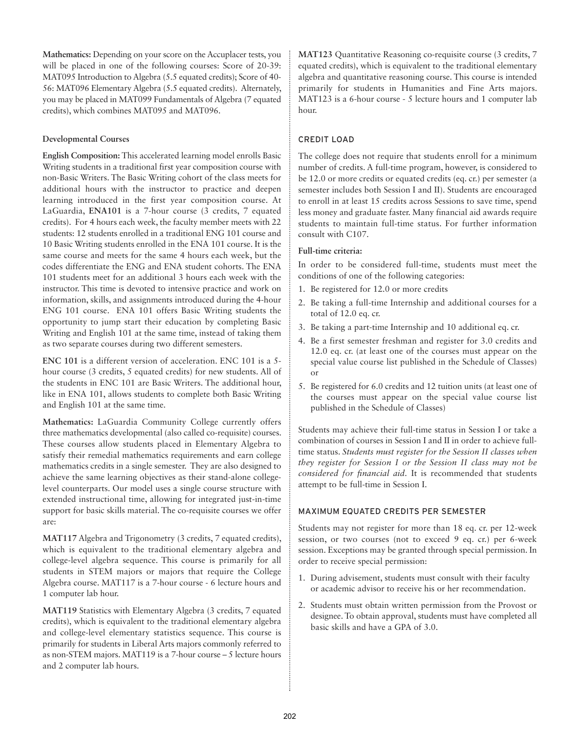**Mathematics:** Depending on your score on the Accuplacer tests, you will be placed in one of the following courses: Score of 20-39: MAT095 Introduction to Algebra (5.5 equated credits); Score of 40- 56: MAT096 Elementary Algebra (5.5 equated credits). Alternately, you may be placed in MAT099 Fundamentals of Algebra (7 equated credits), which combines MAT095 and MAT096.

#### **Developmental Courses**

**English Composition:** This accelerated learning model enrolls Basic Writing students in a traditional first year composition course with non-Basic Writers. The Basic Writing cohort of the class meets for additional hours with the instructor to practice and deepen learning introduced in the first year composition course. At LaGuardia, **ENA101** is a 7-hour course (3 credits, 7 equated credits). For 4 hours each week, the faculty member meets with 22 students: 12 students enrolled in a traditional ENG 101 course and 10 Basic Writing students enrolled in the ENA 101 course. It is the same course and meets for the same 4 hours each week, but the codes differentiate the ENG and ENA student cohorts. The ENA 101 students meet for an additional 3 hours each week with the instructor. This time is devoted to intensive practice and work on information, skills, and assignments introduced during the 4-hour ENG 101 course. ENA 101 offers Basic Writing students the opportunity to jump start their education by completing Basic Writing and English 101 at the same time, instead of taking them as two separate courses during two different semesters.

**ENC 101** is a different version of acceleration. ENC 101 is a 5 hour course (3 credits, 5 equated credits) for new students. All of the students in ENC 101 are Basic Writers. The additional hour, like in ENA 101, allows students to complete both Basic Writing and English 101 at the same time.

**Mathematics:** LaGuardia Community College currently offers three mathematics developmental (also called co-requisite) courses. These courses allow students placed in Elementary Algebra to satisfy their remedial mathematics requirements and earn college mathematics credits in a single semester. They are also designed to achieve the same learning objectives as their stand-alone collegelevel counterparts. Our model uses a single course structure with extended instructional time, allowing for integrated just-in-time support for basic skills material. The co-requisite courses we offer are:

**MAT117** Algebra and Trigonometry (3 credits, 7 equated credits), which is equivalent to the traditional elementary algebra and college-level algebra sequence. This course is primarily for all students in STEM majors or majors that require the College Algebra course. MAT117 is a 7-hour course - 6 lecture hours and 1 computer lab hour.

**MAT119** Statistics with Elementary Algebra (3 credits, 7 equated credits), which is equivalent to the traditional elementary algebra and college-level elementary statistics sequence. This course is primarily for students in Liberal Arts majors commonly referred to as non-STEM majors. MAT119 is a 7-hour course – 5 lecture hours and 2 computer lab hours.

**MAT123** Quantitative Reasoning co-requisite course (3 credits, 7 equated credits), which is equivalent to the traditional elementary algebra and quantitative reasoning course. This course is intended primarily for students in Humanities and Fine Arts majors. MAT123 is a 6-hour course - 5 lecture hours and 1 computer lab hour.

# CREDIT LOAD

The college does not require that students enroll for a minimum number of credits. A full-time program, however, is considered to be 12.0 or more credits or equated credits (eq. cr.) per semester (a semester includes both Session I and II). Students are encouraged to enroll in at least 15 credits across Sessions to save time, spend less money and graduate faster. Many financial aid awards require students to maintain full-time status. For further information consult with C107.

#### **Full-time criteria:**

In order to be considered full-time, students must meet the conditions of one of the following categories:

- 1. Be registered for 12.0 or more credits
- 2. Be taking a full-time Internship and additional courses for a total of 12.0 eq. cr.
- 3. Be taking a part-time Internship and 10 additional eq. cr.
- 4. Be a first semester freshman and register for 3.0 credits and 12.0 eq. cr. (at least one of the courses must appear on the special value course list published in the Schedule of Classes) or
- 5. Be registered for 6.0 credits and 12 tuition units (at least one of the courses must appear on the special value course list published in the Schedule of Classes)

Students may achieve their full-time status in Session I or take a combination of courses in Session I and II in order to achieve fulltime status. *Students must register for the Session II classes when they register for Session I or the Session II class may not be considered for financial aid.* It is recommended that students attempt to be full-time in Session I.

# MAXIMUM EQUATED CREDITS PER SEMESTER

Students may not register for more than 18 eq. cr. per 12-week session, or two courses (not to exceed 9 eq. cr.) per 6-week session. Exceptions may be granted through special permission. In order to receive special permission:

- 1. During advisement, students must consult with their faculty or academic advisor to receive his or her recommendation.
- 2. Students must obtain written permission from the Provost or designee. To obtain approval, students must have completed all basic skills and have a GPA of 3.0.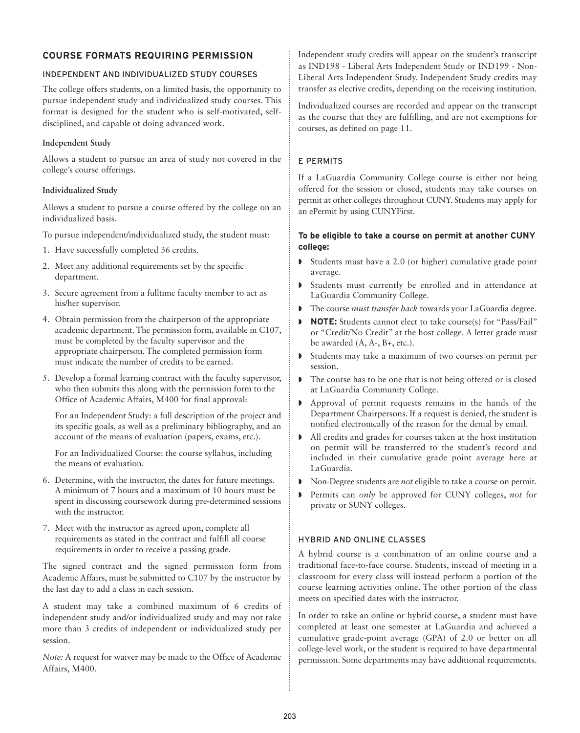# **COURSE FORMATS REQUIRING PERMISSION**

# INDEPENDENT AND INDIVIDUALIZED STUDY COURSES

The college offers students, on a limited basis, the opportunity to pursue independent study and individualized study courses. This format is designed for the student who is self-motivated, selfdisciplined, and capable of doing advanced work.

# **Independent Study**

Allows a student to pursue an area of study not covered in the college's course offerings.

# **Individualized Study**

Allows a student to pursue a course offered by the college on an individualized basis.

- To pursue independent/individualized study, the student must:
- 1. Have successfully completed 36 credits.
- 2. Meet any additional requirements set by the specific department.
- 3. Secure agreement from a fulltime faculty member to act as his/her supervisor.
- 4. Obtain permission from the chairperson of the appropriate academic department. The permission form, available in C107, must be completed by the faculty supervisor and the appropriate chairperson. The completed permission form must indicate the number of credits to be earned.
- 5. Develop a formal learning contract with the faculty supervisor, who then submits this along with the permission form to the Office of Academic Affairs, M400 for final approval:

For an Independent Study: a full description of the project and its specific goals, as well as a preliminary bibliography, and an account of the means of evaluation (papers, exams, etc.).

For an Individualized Course: the course syllabus, including the means of evaluation.

- 6. Determine, with the instructor, the dates for future meetings. A minimum of 7 hours and a maximum of 10 hours must be spent in discussing coursework during pre-determined sessions with the instructor.
- 7. Meet with the instructor as agreed upon, complete all requirements as stated in the contract and fulfill all course requirements in order to receive a passing grade.

The signed contract and the signed permission form from Academic Affairs, must be submitted to C107 by the instructor by the last day to add a class in each session.

A student may take a combined maximum of 6 credits of independent study and/or individualized study and may not take more than 3 credits of independent or individualized study per session.

*Note:* A request for waiver may be made to the Office of Academic Affairs, M400.

Independent study credits will appear on the student's transcript as IND198 - Liberal Arts Independent Study or IND199 - Non-Liberal Arts Independent Study. Independent Study credits may transfer as elective credits, depending on the receiving institution.

Individualized courses are recorded and appear on the transcript as the course that they are fulfilling, and are not exemptions for courses, as defined on page 11.

# E PERMITS

If a LaGuardia Community College course is either not being offered for the session or closed, students may take courses on permit at other colleges throughout CUNY. Students may apply for an ePermit by using CUNYFirst.

# **To be eligible to take a course on permit at another CUNY college:**

- Students must have a 2.0 (or higher) cumulative grade point average.
- **•** Students must currently be enrolled and in attendance at LaGuardia Community College.
- The course *must transfer back* towards your LaGuardia degree.
- ª **NOTE:** Students cannot elect to take course(s) for "Pass/Fail" or "Credit/No Credit" at the host college. A letter grade must be awarded (A, A-, B+, etc.).
- ª Students may take a maximum of two courses on permit per session.
- The course has to be one that is not being offered or is closed at LaGuardia Community College.
- ª Approval of permit requests remains in the hands of the Department Chairpersons. If a request is denied, the student is notified electronically of the reason for the denial by email.
- ª All credits and grades for courses taken at the host institution on permit will be transferred to the student's record and included in their cumulative grade point average here at LaGuardia.
- ª Non-Degree students are *not* eligible to take a course on permit.
- **•** Permits can *only* be approved for CUNY colleges, *not* for private or SUNY colleges.

# HYBRID AND ONLINE CLASSES

A hybrid course is a combination of an online course and a traditional face-to-face course. Students, instead of meeting in a classroom for every class will instead perform a portion of the course learning activities online. The other portion of the class meets on specified dates with the instructor.

In order to take an online or hybrid course, a student must have completed at least one semester at LaGuardia and achieved a cumulative grade-point average (GPA) of 2.0 or better on all college-level work, or the student is required to have departmental permission. Some departments may have additional requirements.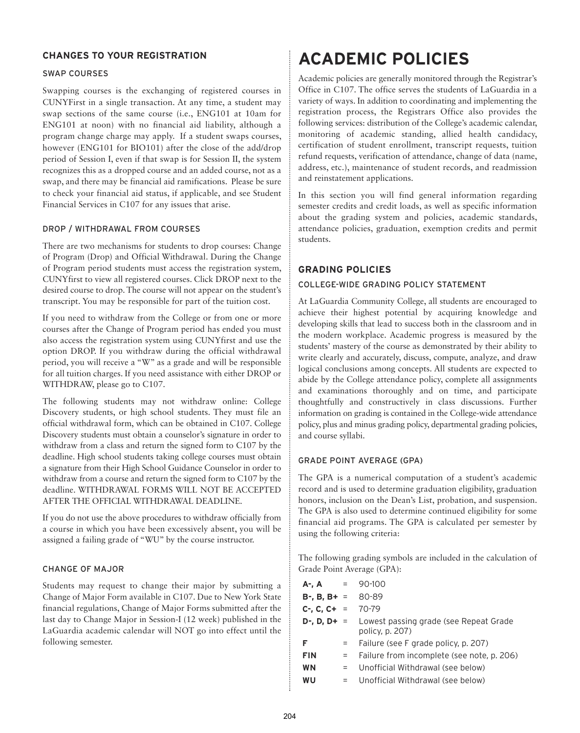# **CHANGES TO YOUR REGISTRATION**

#### SWAP COURSES

Swapping courses is the exchanging of registered courses in CUNYFirst in a single transaction. At any time, a student may swap sections of the same course (i.e., ENG101 at 10am for ENG101 at noon) with no financial aid liability, although a program change charge may apply. If a student swaps courses, however (ENG101 for BIO101) after the close of the add/drop period of Session I, even if that swap is for Session II, the system recognizes this as a dropped course and an added course, not as a swap, and there may be financial aid ramifications. Please be sure to check your financial aid status, if applicable, and see Student Financial Services in C107 for any issues that arise.

#### DROP / WITHDRAWAL FROM COURSES

There are two mechanisms for students to drop courses: Change of Program (Drop) and Official Withdrawal. During the Change of Program period students must access the registration system, CUNYfirst to view all registered courses. Click DROP next to the desired course to drop. The course will not appear on the student's transcript. You may be responsible for part of the tuition cost.

If you need to withdraw from the College or from one or more courses after the Change of Program period has ended you must also access the registration system using CUNYfirst and use the option DROP. If you withdraw during the official withdrawal period, you will receive a "W" as a grade and will be responsible for all tuition charges. If you need assistance with either DROP or WITHDRAW, please go to C107.

The following students may not withdraw online: College Discovery students, or high school students. They must file an official withdrawal form, which can be obtained in C107. College Discovery students must obtain a counselor's signature in order to withdraw from a class and return the signed form to C107 by the deadline. High school students taking college courses must obtain a signature from their High School Guidance Counselor in order to withdraw from a course and return the signed form to C107 by the deadline. WITHDRAWAL FORMS WILL NOT BE ACCEPTED AFTER THE OFFICIAL WITHDRAWAL DEADLINE.

If you do not use the above procedures to withdraw officially from a course in which you have been excessively absent, you will be assigned a failing grade of "WU" by the course instructor.

#### CHANGE OF MAJOR

Students may request to change their major by submitting a Change of Major Form available in C107. Due to New York State financial regulations, Change of Major Forms submitted after the last day to Change Major in Session-I (12 week) published in the LaGuardia academic calendar will NOT go into effect until the following semester.

# **ACADEMIC POLICIES**

Academic policies are generally monitored through the Registrar's Office in C107. The office serves the students of LaGuardia in a variety of ways. In addition to coordinating and implementing the registration process, the Registrars Office also provides the following services: distribution of the College's academic calendar, monitoring of academic standing, allied health candidacy, certification of student enrollment, transcript requests, tuition refund requests, verification of attendance, change of data (name, address, etc.), maintenance of student records, and readmission and reinstatement applications.

In this section you will find general information regarding semester credits and credit loads, as well as specific information about the grading system and policies, academic standards, attendance policies, graduation, exemption credits and permit students.

# **GRADING POLICIES**

# COLLEGE-WIDE GRADING POLICY STATEMENT

At LaGuardia Community College, all students are encouraged to achieve their highest potential by acquiring knowledge and developing skills that lead to success both in the classroom and in the modern workplace. Academic progress is measured by the students' mastery of the course as demonstrated by their ability to write clearly and accurately, discuss, compute, analyze, and draw logical conclusions among concepts. All students are expected to abide by the College attendance policy, complete all assignments and examinations thoroughly and on time, and participate thoughtfully and constructively in class discussions. Further information on grading is contained in the College-wide attendance policy, plus and minus grading policy, departmental grading policies, and course syllabi.

#### GRADE POINT AVERAGE (GPA)

The GPA is a numerical computation of a student's academic record and is used to determine graduation eligibility, graduation honors, inclusion on the Dean's List, probation, and suspension. The GPA is also used to determine continued eligibility for some financial aid programs. The GPA is calculated per semester by using the following criteria:

The following grading symbols are included in the calculation of Grade Point Average (GPA):

| $A - A$ = 90-100           |     |                                                                                |
|----------------------------|-----|--------------------------------------------------------------------------------|
| <b>B-, B, B+</b> = $80-89$ |     |                                                                                |
| $C-, C, C+ = 70-79$        |     |                                                                                |
|                            |     | $D$ -, $D$ , $D$ + = Lowest passing grade (see Repeat Grade<br>policy, p. 207) |
| F                          | $=$ | Failure (see F grade policy, p. 207)                                           |
| <b>FIN</b>                 | $=$ | Failure from incomplete (see note, p. 206)                                     |
| <b>WN</b>                  | $=$ | Unofficial Withdrawal (see below)                                              |
| WU                         | $=$ | Unofficial Withdrawal (see below)                                              |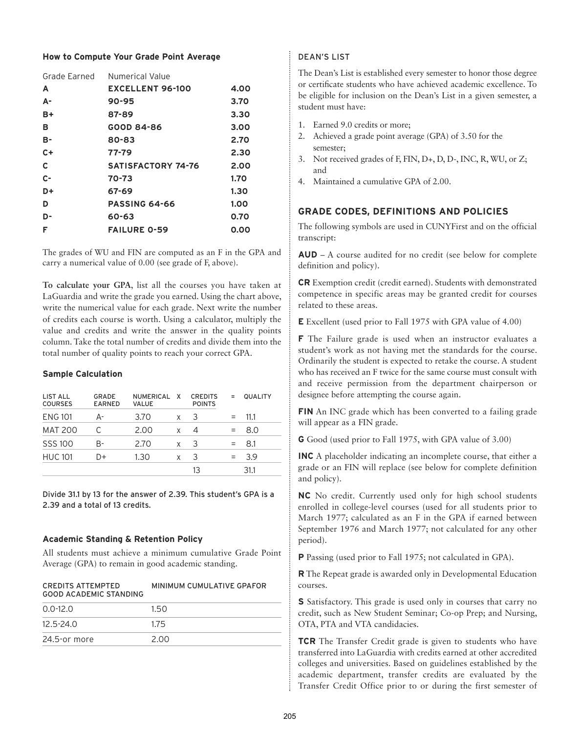#### **How to Compute Your Grade Point Average**

|           | Grade Earned Numerical Value |      |
|-----------|------------------------------|------|
| A         | <b>EXCELLENT 96-100</b>      | 4.00 |
| А-        | $90 - 95$                    | 3.70 |
| B+        | 87-89                        | 3.30 |
| в         | GOOD 84-86                   | 3.00 |
| <b>B-</b> | $80 - 83$                    | 2.70 |
| $C +$     | 77-79                        | 2.30 |
| C         | <b>SATISFACTORY 74-76</b>    | 2.00 |
| $C-$      | 70-73                        | 1.70 |
| D+        | 67-69                        | 1.30 |
| D         | <b>PASSING 64-66</b>         | 1.00 |
| D-        | 60-63                        | 0.70 |
| F         | <b>FAILURE 0-59</b>          | 0.00 |
|           |                              |      |

The grades of WU and FIN are computed as an F in the GPA and carry a numerical value of 0.00 (see grade of F, above).

**To calculate your GPA**, list all the courses you have taken at LaGuardia and write the grade you earned. Using the chart above, write the numerical value for each grade. Next write the number of credits each course is worth. Using a calculator, multiply the value and credits and write the answer in the quality points column. Take the total number of credits and divide them into the total number of quality points to reach your correct GPA.

# **Sample Calculation**

| LIST ALL<br><b>COURSES</b> | GRADE<br><b>EARNED</b> | NUMERICAL X<br>VALUE |   | <b>CREDITS</b><br><b>POINTS</b> | $=$ | <b>QUALITY</b> |
|----------------------------|------------------------|----------------------|---|---------------------------------|-----|----------------|
| <b>ENG 101</b>             | А-                     | 3.70                 | X | 3                               |     | 11.1           |
| <b>MAT 200</b>             |                        | 2.00                 | X | 4                               |     | 8.0            |
| <b>SSS 100</b>             | B-                     | 2.70                 | X | 3                               |     | 8.1            |
| <b>HUC 101</b>             | D+                     | 1.30                 | X | 3                               | $=$ | 3.9            |
|                            |                        |                      |   | 13                              |     | 31.1           |

Divide 31.1 by 13 for the answer of 2.39. This student's GPA is a 2.39 and a total of 13 credits.

# **Academic Standing & Retention Policy**

All students must achieve a minimum cumulative Grade Point Average (GPA) to remain in good academic standing.

| <b>CREDITS ATTEMPTED</b><br><b>GOOD ACADEMIC STANDING</b> | MINIMUM CUMULATIVE GPAFOR |  |  |  |
|-----------------------------------------------------------|---------------------------|--|--|--|
| $0.0 - 12.0$                                              | 150                       |  |  |  |
| $12.5 - 24.0$                                             | 175                       |  |  |  |
| 24.5-or more                                              | 2.00                      |  |  |  |

# DEAN'S LIST

The Dean's List is established every semester to honor those degree or certificate students who have achieved academic excellence. To be eligible for inclusion on the Dean's List in a given semester, a student must have:

- 1. Earned 9.0 credits or more;
- 2. Achieved a grade point average (GPA) of 3.50 for the semester;
- 3. Not received grades of F, FIN, D+, D, D-, INC, R, WU, or Z; and
- 4. Maintained a cumulative GPA of 2.00.

# **GRADE CODES, DEFINITIONS AND POLICIES**

The following symbols are used in CUNYFirst and on the official transcript:

**AUD** – A course audited for no credit (see below for complete definition and policy).

**CR** Exemption credit (credit earned). Students with demonstrated competence in specific areas may be granted credit for courses related to these areas.

**E** Excellent (used prior to Fall 1975 with GPA value of 4.00)

**F** The Failure grade is used when an instructor evaluates a student's work as not having met the standards for the course. Ordinarily the student is expected to retake the course. A student who has received an F twice for the same course must consult with and receive permission from the department chairperson or designee before attempting the course again.

**FIN** An INC grade which has been converted to a failing grade will appear as a FIN grade.

**G** Good (used prior to Fall 1975, with GPA value of 3.00)

**INC** A placeholder indicating an incomplete course, that either a grade or an FIN will replace (see below for complete definition and policy).

**NC** No credit. Currently used only for high school students enrolled in college-level courses (used for all students prior to March 1977; calculated as an F in the GPA if earned between September 1976 and March 1977; not calculated for any other period).

**P** Passing (used prior to Fall 1975; not calculated in GPA).

**R** The Repeat grade is awarded only in Developmental Education courses.

**S** Satisfactory. This grade is used only in courses that carry no credit, such as New Student Seminar; Co-op Prep; and Nursing, OTA, PTA and VTA candidacies.

**TCR** The Transfer Credit grade is given to students who have transferred into LaGuardia with credits earned at other accredited colleges and universities. Based on guidelines established by the academic department, transfer credits are evaluated by the Transfer Credit Office prior to or during the first semester of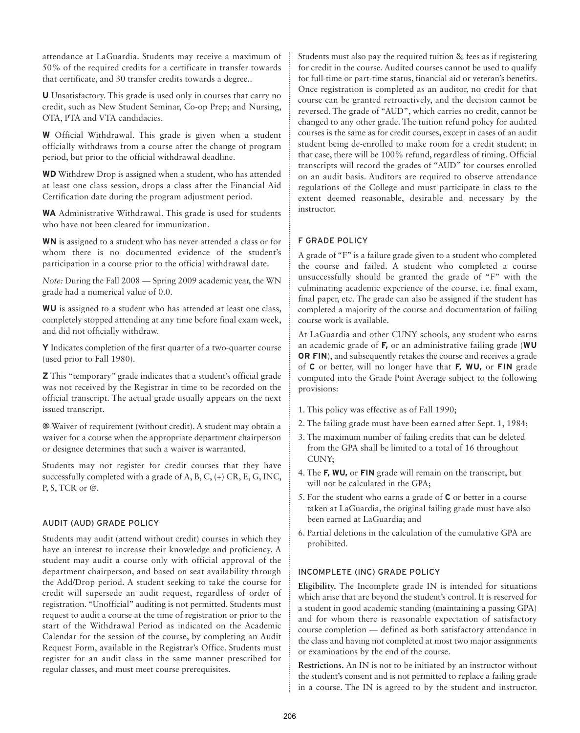attendance at LaGuardia. Students may receive a maximum of 50% of the required credits for a certificate in transfer towards that certificate, and 30 transfer credits towards a degree..

**U** Unsatisfactory. This grade is used only in courses that carry no credit, such as New Student Seminar, Co-op Prep; and Nursing, OTA, PTA and VTA candidacies.

**W** Official Withdrawal. This grade is given when a student officially withdraws from a course after the change of program period, but prior to the official withdrawal deadline.

**WD** Withdrew Drop is assigned when a student, who has attended at least one class session, drops a class after the Financial Aid Certification date during the program adjustment period.

**WA** Administrative Withdrawal. This grade is used for students who have not been cleared for immunization.

**WN** is assigned to a student who has never attended a class or for whom there is no documented evidence of the student's participation in a course prior to the official withdrawal date.

*Note:* During the Fall 2008 — Spring 2009 academic year, the WN grade had a numerical value of 0.0.

**WU** is assigned to a student who has attended at least one class, completely stopped attending at any time before final exam week, and did not officially withdraw.

**Y** Indicates completion of the first quarter of a two-quarter course (used prior to Fall 1980).

**Z** This "temporary" grade indicates that a student's official grade was not received by the Registrar in time to be recorded on the official transcript. The actual grade usually appears on the next issued transcript.

**@** Waiver of requirement (without credit). A student may obtain a waiver for a course when the appropriate department chairperson or designee determines that such a waiver is warranted.

Students may not register for credit courses that they have successfully completed with a grade of A, B, C,  $(+)$  CR, E, G, INC, P, S, TCR or @.

#### AUDIT (AUD) GRADE POLICY

Students may audit (attend without credit) courses in which they have an interest to increase their knowledge and proficiency. A student may audit a course only with official approval of the department chairperson, and based on seat availability through the Add/Drop period. A student seeking to take the course for credit will supersede an audit request, regardless of order of registration. "Unofficial" auditing is not permitted. Students must request to audit a course at the time of registration or prior to the start of the Withdrawal Period as indicated on the Academic Calendar for the session of the course, by completing an Audit Request Form, available in the Registrar's Office. Students must register for an audit class in the same manner prescribed for regular classes, and must meet course prerequisites.

Students must also pay the required tuition & fees as if registering for credit in the course. Audited courses cannot be used to qualify for full-time or part-time status, financial aid or veteran's benefits. Once registration is completed as an auditor, no credit for that course can be granted retroactively, and the decision cannot be reversed. The grade of "AUD", which carries no credit, cannot be changed to any other grade. The tuition refund policy for audited courses is the same as for credit courses, except in cases of an audit student being de-enrolled to make room for a credit student; in that case, there will be 100% refund, regardless of timing. Official transcripts will record the grades of "AUD" for courses enrolled on an audit basis. Auditors are required to observe attendance regulations of the College and must participate in class to the extent deemed reasonable, desirable and necessary by the instructor.

# F GRADE POLICY

A grade of "F" is a failure grade given to a student who completed the course and failed. A student who completed a course unsuccessfully should be granted the grade of "F" with the culminating academic experience of the course, i.e. final exam, final paper, etc. The grade can also be assigned if the student has completed a majority of the course and documentation of failing course work is available.

At LaGuardia and other CUNY schools, any student who earns an academic grade of **F,** or an administrative failing grade (**WU OR FIN**), and subsequently retakes the course and receives a grade of **C** or better, will no longer have that **F, WU,** or **FIN** grade computed into the Grade Point Average subject to the following provisions:

- 1. This policy was effective as of Fall 1990;
- 2. The failing grade must have been earned after Sept. 1, 1984;
- 3. The maximum number of failing credits that can be deleted from the GPA shall be limited to a total of 16 throughout CUNY;
- 4. The **F, WU,** or **FIN** grade will remain on the transcript, but will not be calculated in the GPA;
- 5. For the student who earns a grade of **C** or better in a course taken at LaGuardia, the original failing grade must have also been earned at LaGuardia; and
- 6. Partial deletions in the calculation of the cumulative GPA are prohibited.

#### INCOMPLETE (INC) GRADE POLICY

**Eligibility.** The Incomplete grade IN is intended for situations which arise that are beyond the student's control. It is reserved for a student in good academic standing (maintaining a passing GPA) and for whom there is reasonable expectation of satisfactory course completion — defined as both satisfactory attendance in the class and having not completed at most two major assignments or examinations by the end of the course.

**Restrictions.** An IN is not to be initiated by an instructor without the student's consent and is not permitted to replace a failing grade in a course. The IN is agreed to by the student and instructor.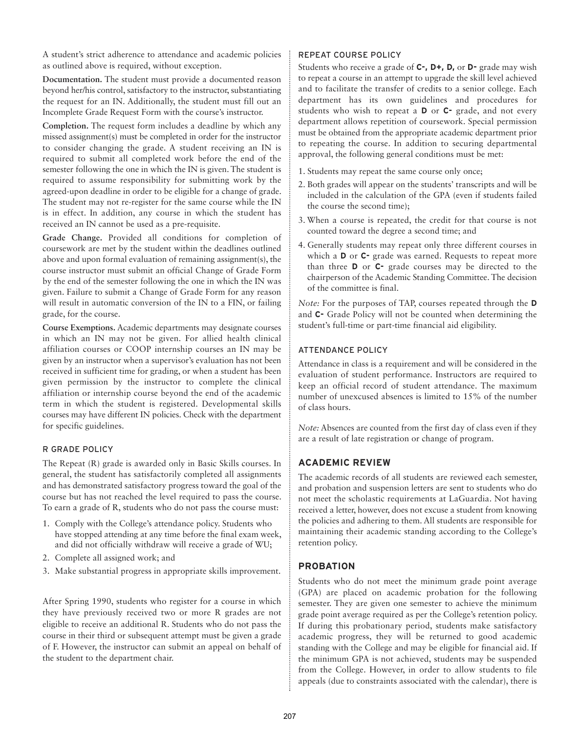A student's strict adherence to attendance and academic policies as outlined above is required, without exception.

**Documentation.** The student must provide a documented reason beyond her/his control, satisfactory to the instructor, substantiating the request for an IN. Additionally, the student must fill out an Incomplete Grade Request Form with the course's instructor.

**Completion.** The request form includes a deadline by which any missed assignment(s) must be completed in order for the instructor to consider changing the grade. A student receiving an IN is required to submit all completed work before the end of the semester following the one in which the IN is given. The student is required to assume responsibility for submitting work by the agreed-upon deadline in order to be eligible for a change of grade. The student may not re-register for the same course while the IN is in effect. In addition, any course in which the student has received an IN cannot be used as a pre-requisite.

**Grade Change.** Provided all conditions for completion of coursework are met by the student within the deadlines outlined above and upon formal evaluation of remaining assignment(s), the course instructor must submit an official Change of Grade Form by the end of the semester following the one in which the IN was given. Failure to submit a Change of Grade Form for any reason will result in automatic conversion of the IN to a FIN, or failing grade, for the course.

**Course Exemptions.** Academic departments may designate courses in which an IN may not be given. For allied health clinical affiliation courses or COOP internship courses an IN may be given by an instructor when a supervisor's evaluation has not been received in sufficient time for grading, or when a student has been given permission by the instructor to complete the clinical affiliation or internship course beyond the end of the academic term in which the student is registered. Developmental skills courses may have different IN policies. Check with the department for specific guidelines.

#### R GRADE POLICY

The Repeat (R) grade is awarded only in Basic Skills courses. In general, the student has satisfactorily completed all assignments and has demonstrated satisfactory progress toward the goal of the course but has not reached the level required to pass the course. To earn a grade of R, students who do not pass the course must:

- 1. Comply with the College's attendance policy. Students who have stopped attending at any time before the final exam week, and did not officially withdraw will receive a grade of WU;
- 2. Complete all assigned work; and
- 3. Make substantial progress in appropriate skills improvement.

After Spring 1990, students who register for a course in which they have previously received two or more R grades are not eligible to receive an additional R. Students who do not pass the course in their third or subsequent attempt must be given a grade of F. However, the instructor can submit an appeal on behalf of the student to the department chair.

#### REPEAT COURSE POLICY

Students who receive a grade of **C-, D+, D,** or **D-** grade may wish to repeat a course in an attempt to upgrade the skill level achieved and to facilitate the transfer of credits to a senior college. Each department has its own guidelines and procedures for students who wish to repeat a **D** or **C-** grade, and not every department allows repetition of coursework. Special permission must be obtained from the appropriate academic department prior to repeating the course. In addition to securing departmental approval, the following general conditions must be met:

- 1. Students may repeat the same course only once;
- 2. Both grades will appear on the students' transcripts and will be included in the calculation of the GPA (even if students failed the course the second time);
- 3. When a course is repeated, the credit for that course is not counted toward the degree a second time; and
- 4. Generally students may repeat only three different courses in which a **D** or **C-** grade was earned. Requests to repeat more than three **D** or **C-** grade courses may be directed to the chairperson of the Academic Standing Committee. The decision of the committee is final.

*Note:* For the purposes of TAP, courses repeated through the **D** and **C-** Grade Policy will not be counted when determining the student's full-time or part-time financial aid eligibility.

# ATTENDANCE POLICY

Attendance in class is a requirement and will be considered in the evaluation of student performance. Instructors are required to keep an official record of student attendance. The maximum number of unexcused absences is limited to 15% of the number of class hours.

*Note:* Absences are counted from the first day of class even if they are a result of late registration or change of program.

# **ACADEMIC REVIEW**

The academic records of all students are reviewed each semester, and probation and suspension letters are sent to students who do not meet the scholastic requirements at LaGuardia. Not having received a letter, however, does not excuse a student from knowing the policies and adhering to them. All students are responsible for maintaining their academic standing according to the College's retention policy.

# **PROBATION**

Students who do not meet the minimum grade point average (GPA) are placed on academic probation for the following semester. They are given one semester to achieve the minimum grade point average required as per the College's retention policy. If during this probationary period, students make satisfactory academic progress, they will be returned to good academic standing with the College and may be eligible for financial aid. If the minimum GPA is not achieved, students may be suspended from the College. However, in order to allow students to file appeals (due to constraints associated with the calendar), there is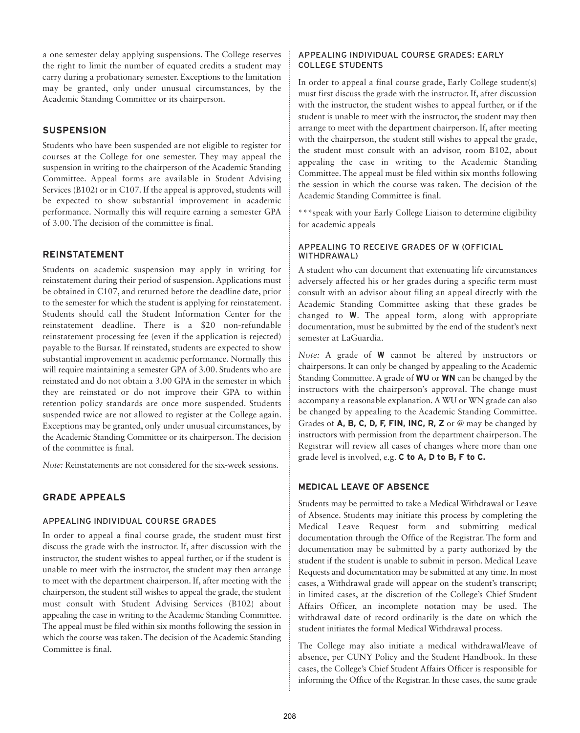a one semester delay applying suspensions. The College reserves the right to limit the number of equated credits a student may carry during a probationary semester. Exceptions to the limitation may be granted, only under unusual circumstances, by the Academic Standing Committee or its chairperson.

#### **SUSPENSION**

Students who have been suspended are not eligible to register for courses at the College for one semester. They may appeal the suspension in writing to the chairperson of the Academic Standing Committee. Appeal forms are available in Student Advising Services (B102) or in C107. If the appeal is approved, students will be expected to show substantial improvement in academic performance. Normally this will require earning a semester GPA of 3.00. The decision of the committee is final.

# **REINSTATEMENT**

Students on academic suspension may apply in writing for reinstatement during their period of suspension. Applications must be obtained in C107, and returned before the deadline date, prior to the semester for which the student is applying for reinstatement. Students should call the Student Information Center for the reinstatement deadline. There is a \$20 non-refundable reinstatement processing fee (even if the application is rejected) payable to the Bursar. If reinstated, students are expected to show substantial improvement in academic performance. Normally this will require maintaining a semester GPA of 3.00. Students who are reinstated and do not obtain a 3.00 GPA in the semester in which they are reinstated or do not improve their GPA to within retention policy standards are once more suspended. Students suspended twice are not allowed to register at the College again. Exceptions may be granted, only under unusual circumstances, by the Academic Standing Committee or its chairperson. The decision of the committee is final.

*Note:* Reinstatements are not considered for the six-week sessions.

# **GRADE APPEALS**

# APPEALING INDIVIDUAL COURSE GRADES

In order to appeal a final course grade, the student must first discuss the grade with the instructor. If, after discussion with the instructor, the student wishes to appeal further, or if the student is unable to meet with the instructor, the student may then arrange to meet with the department chairperson. If, after meeting with the chairperson, the student still wishes to appeal the grade, the student must consult with Student Advising Services (B102) about appealing the case in writing to the Academic Standing Committee. The appeal must be filed within six months following the session in which the course was taken. The decision of the Academic Standing Committee is final.

#### APPEALING INDIVIDUAL COURSE GRADES: EARLY COLLEGE STUDENTS

In order to appeal a final course grade, Early College student(s) must first discuss the grade with the instructor. If, after discussion with the instructor, the student wishes to appeal further, or if the student is unable to meet with the instructor, the student may then arrange to meet with the department chairperson. If, after meeting with the chairperson, the student still wishes to appeal the grade, the student must consult with an advisor, room B102, about appealing the case in writing to the Academic Standing Committee. The appeal must be filed within six months following the session in which the course was taken. The decision of the Academic Standing Committee is final.

\*\*\*speak with your Early College Liaison to determine eligibility for academic appeals

#### APPEALING TO RECEIVE GRADES OF W (OFFICIAL WITHDRAWAL)

A student who can document that extenuating life circumstances adversely affected his or her grades during a specific term must consult with an advisor about filing an appeal directly with the Academic Standing Committee asking that these grades be changed to **W**. The appeal form, along with appropriate documentation, must be submitted by the end of the student's next semester at LaGuardia.

*Note:* A grade of **W** cannot be altered by instructors or chairpersons. It can only be changed by appealing to the Academic Standing Committee. A grade of **WU** or **WN** can be changed by the instructors with the chairperson's approval. The change must accompany a reasonable explanation. A WU or WN grade can also be changed by appealing to the Academic Standing Committee. Grades of **A, B, C, D, F, FIN, INC, R, Z** or @ may be changed by instructors with permission from the department chairperson. The Registrar will review all cases of changes where more than one grade level is involved, e.g. **C to A, D to B, F to C.**

#### **MEDICAL LEAVE OF ABSENCE**

Students may be permitted to take a Medical Withdrawal or Leave of Absence. Students may initiate this process by completing the Medical Leave Request form and submitting medical documentation through the Office of the Registrar. The form and documentation may be submitted by a party authorized by the student if the student is unable to submit in person. Medical Leave Requests and documentation may be submitted at any time. In most cases, a Withdrawal grade will appear on the student's transcript; in limited cases, at the discretion of the College's Chief Student Affairs Officer, an incomplete notation may be used. The withdrawal date of record ordinarily is the date on which the student initiates the formal Medical Withdrawal process.

The College may also initiate a medical withdrawal/leave of absence, per CUNY Policy and the Student Handbook. In these cases, the College's Chief Student Affairs Officer is responsible for informing the Office of the Registrar. In these cases, the same grade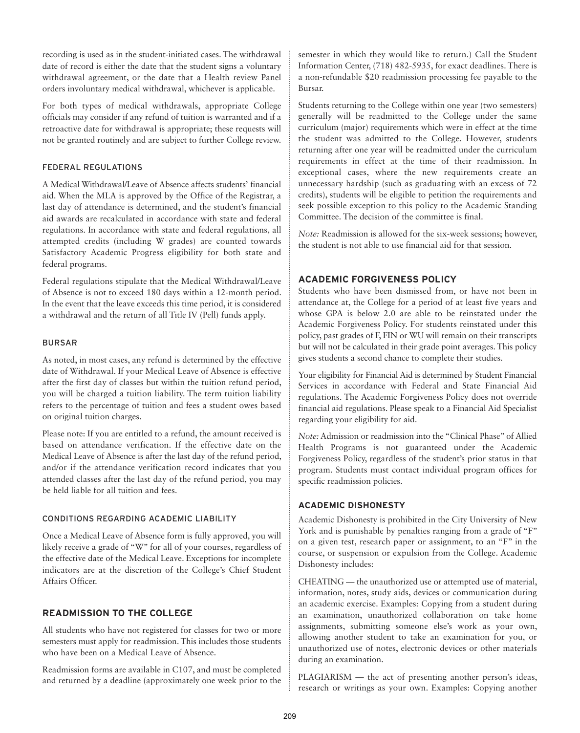recording is used as in the student-initiated cases. The withdrawal date of record is either the date that the student signs a voluntary withdrawal agreement, or the date that a Health review Panel orders involuntary medical withdrawal, whichever is applicable.

For both types of medical withdrawals, appropriate College officials may consider if any refund of tuition is warranted and if a retroactive date for withdrawal is appropriate; these requests will not be granted routinely and are subject to further College review.

# FEDERAL REGULATIONS

A Medical Withdrawal/Leave of Absence affects students' financial aid. When the MLA is approved by the Office of the Registrar, a last day of attendance is determined, and the student's financial aid awards are recalculated in accordance with state and federal regulations. In accordance with state and federal regulations, all attempted credits (including W grades) are counted towards Satisfactory Academic Progress eligibility for both state and federal programs.

Federal regulations stipulate that the Medical Withdrawal/Leave of Absence is not to exceed 180 days within a 12-month period. In the event that the leave exceeds this time period, it is considered a withdrawal and the return of all Title IV (Pell) funds apply.

# BURSAR

As noted, in most cases, any refund is determined by the effective date of Withdrawal. If your Medical Leave of Absence is effective after the first day of classes but within the tuition refund period, you will be charged a tuition liability. The term tuition liability refers to the percentage of tuition and fees a student owes based on original tuition charges.

Please note: If you are entitled to a refund, the amount received is based on attendance verification. If the effective date on the Medical Leave of Absence is after the last day of the refund period, and/or if the attendance verification record indicates that you attended classes after the last day of the refund period, you may be held liable for all tuition and fees.

# CONDITIONS REGARDING ACADEMIC LIABILITY

Once a Medical Leave of Absence form is fully approved, you will likely receive a grade of "W" for all of your courses, regardless of the effective date of the Medical Leave. Exceptions for incomplete indicators are at the discretion of the College's Chief Student Affairs Officer.

# **READMISSION TO THE COLLEGE**

All students who have not registered for classes for two or more semesters must apply for readmission. This includes those students who have been on a Medical Leave of Absence.

Readmission forms are available in C107, and must be completed and returned by a deadline (approximately one week prior to the semester in which they would like to return.) Call the Student Information Center, (718) 482-5935, for exact deadlines. There is a non-refundable \$20 readmission processing fee payable to the Bursar.

Students returning to the College within one year (two semesters) generally will be readmitted to the College under the same curriculum (major) requirements which were in effect at the time the student was admitted to the College. However, students returning after one year will be readmitted under the curriculum requirements in effect at the time of their readmission. In exceptional cases, where the new requirements create an unnecessary hardship (such as graduating with an excess of 72 credits), students will be eligible to petition the requirements and seek possible exception to this policy to the Academic Standing Committee. The decision of the committee is final.

*Note:* Readmission is allowed for the six-week sessions; however, the student is not able to use financial aid for that session.

# **ACADEMIC FORGIVENESS POLICY**

Students who have been dismissed from, or have not been in attendance at, the College for a period of at least five years and whose GPA is below 2.0 are able to be reinstated under the Academic Forgiveness Policy. For students reinstated under this policy, past grades of F, FIN or WU will remain on their transcripts but will not be calculated in their grade point averages. This policy gives students a second chance to complete their studies.

Your eligibility for Financial Aid is determined by Student Financial Services in accordance with Federal and State Financial Aid regulations. The Academic Forgiveness Policy does not override financial aid regulations. Please speak to a Financial Aid Specialist regarding your eligibility for aid.

*Note:* Admission or readmission into the "Clinical Phase" of Allied Health Programs is not guaranteed under the Academic Forgiveness Policy, regardless of the student's prior status in that program. Students must contact individual program offices for specific readmission policies.

# **ACADEMIC DISHONESTY**

Academic Dishonesty is prohibited in the City University of New York and is punishable by penalties ranging from a grade of "F" on a given test, research paper or assignment, to an "F" in the course, or suspension or expulsion from the College. Academic Dishonesty includes:

CHEATING — the unauthorized use or attempted use of material, information, notes, study aids, devices or communication during an academic exercise. Examples: Copying from a student during an examination, unauthorized collaboration on take home assignments, submitting someone else's work as your own, allowing another student to take an examination for you, or unauthorized use of notes, electronic devices or other materials during an examination.

PLAGIARISM — the act of presenting another person's ideas, research or writings as your own. Examples: Copying another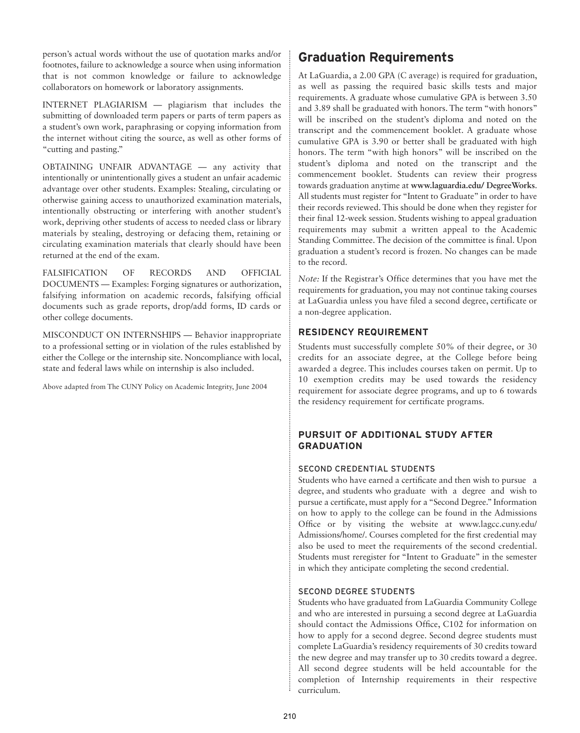person's actual words without the use of quotation marks and/or footnotes, failure to acknowledge a source when using information that is not common knowledge or failure to acknowledge collaborators on homework or laboratory assignments.

INTERNET PLAGIARISM — plagiarism that includes the submitting of downloaded term papers or parts of term papers as a student's own work, paraphrasing or copying information from the internet without citing the source, as well as other forms of "cutting and pasting."

OBTAINING UNFAIR ADVANTAGE — any activity that intentionally or unintentionally gives a student an unfair academic advantage over other students. Examples: Stealing, circulating or otherwise gaining access to unauthorized examination materials, intentionally obstructing or interfering with another student's work, depriving other students of access to needed class or library materials by stealing, destroying or defacing them, retaining or circulating examination materials that clearly should have been returned at the end of the exam.

FALSIFICATION OF RECORDS AND OFFICIAL DOCUMENTS — Examples: Forging signatures or authorization, falsifying information on academic records, falsifying official documents such as grade reports, drop/add forms, ID cards or other college documents.

MISCONDUCT ON INTERNSHIPS — Behavior inappropriate to a professional setting or in violation of the rules established by either the College or the internship site. Noncompliance with local, state and federal laws while on internship is also included.

Above adapted from The CUNY Policy on Academic Integrity, June 2004

# **Graduation Requirements**

At LaGuardia, a 2.00 GPA (C average) is required for graduation, as well as passing the required basic skills tests and major requirements. A graduate whose cumulative GPA is between 3.50 and 3.89 shall be graduated with honors. The term "with honors" will be inscribed on the student's diploma and noted on the transcript and the commencement booklet. A graduate whose cumulative GPA is 3.90 or better shall be graduated with high honors. The term "with high honors" will be inscribed on the student's diploma and noted on the transcript and the commencement booklet. Students can review their progress towards graduation anytime at **www.laguardia.edu/ DegreeWorks**. All students must register for "Intent to Graduate" in order to have their records reviewed. This should be done when they register for their final 12-week session. Students wishing to appeal graduation requirements may submit a written appeal to the Academic Standing Committee. The decision of the committee is final. Upon graduation a student's record is frozen. No changes can be made to the record.

*Note:* If the Registrar's Office determines that you have met the requirements for graduation, you may not continue taking courses at LaGuardia unless you have filed a second degree, certificate or a non-degree application.

# **RESIDENCY REQUIREMENT**

Students must successfully complete 50% of their degree, or 30 credits for an associate degree, at the College before being awarded a degree. This includes courses taken on permit. Up to 10 exemption credits may be used towards the residency requirement for associate degree programs, and up to 6 towards the residency requirement for certificate programs.

# **PURSUIT OF ADDITIONAL STUDY AFTER GRADUATION**

#### SECOND CREDENTIAL STUDENTS

Students who have earned a certificate and then wish to pursue a degree, and students who graduate with a degree and wish to pursue a certificate, must apply for a "Second Degree." Information on how to apply to the college can be found in the Admissions Office or by visiting the website at www.lagcc.cuny.edu/ Admissions/home/. Courses completed for the first credential may also be used to meet the requirements of the second credential. Students must reregister for "Intent to Graduate" in the semester in which they anticipate completing the second credential.

# SECOND DEGREE STUDENTS

Students who have graduated from LaGuardia Community College and who are interested in pursuing a second degree at LaGuardia should contact the Admissions Office, C102 for information on how to apply for a second degree. Second degree students must complete LaGuardia's residency requirements of 30 credits toward the new degree and may transfer up to 30 credits toward a degree. All second degree students will be held accountable for the completion of Internship requirements in their respective curriculum.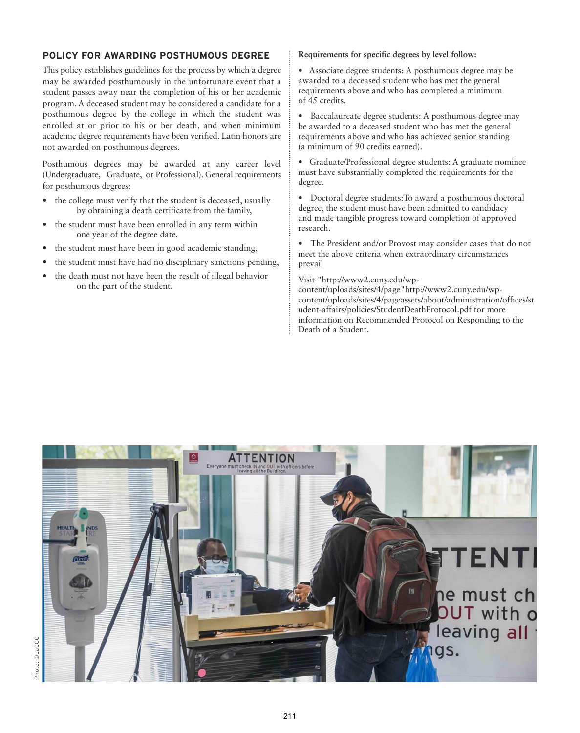# **POLICY FOR AWARDING POSTHUMOUS DEGREE**

This policy establishes guidelines for the process by which a degree may be awarded posthumously in the unfortunate event that a student passes away near the completion of his or her academic program. A deceased student may be considered a candidate for a posthumous degree by the college in which the student was enrolled at or prior to his or her death, and when minimum academic degree requirements have been verified. Latin honors are not awarded on posthumous degrees.

Posthumous degrees may be awarded at any career level (Undergraduate, Graduate, or Professional). General requirements for posthumous degrees:

- the college must verify that the student is deceased, usually by obtaining a death certificate from the family,
- the student must have been enrolled in any term within one year of the degree date,
- the student must have been in good academic standing,
- the student must have had no disciplinary sanctions pending,
- the death must not have been the result of illegal behavior on the part of the student.

#### **Requirements for specific degrees by level follow:**

• Associate degree students: A posthumous degree may be awarded to a deceased student who has met the general requirements above and who has completed a minimum of 45 credits.

• Baccalaureate degree students: A posthumous degree may be awarded to a deceased student who has met the general requirements above and who has achieved senior standing (a minimum of 90 credits earned).

• Graduate/Professional degree students: A graduate nominee must have substantially completed the requirements for the degree.

• Doctoral degree students:To award a posthumous doctoral degree, the student must have been admitted to candidacy and made tangible progress toward completion of approved research.

• The President and/or Provost may consider cases that do not meet the above criteria when extraordinary circumstances prevail

#### Visit "http://www2.cuny.edu/wp-

content/uploads/sites/4/page"http://www2.cuny.edu/wpcontent/uploads/sites/4/page assets/about/administration/offices/st udent-affairs/policies/StudentDeathProtocol.pdf for more information on Recommended Protocol on Responding to the Death of a Student.

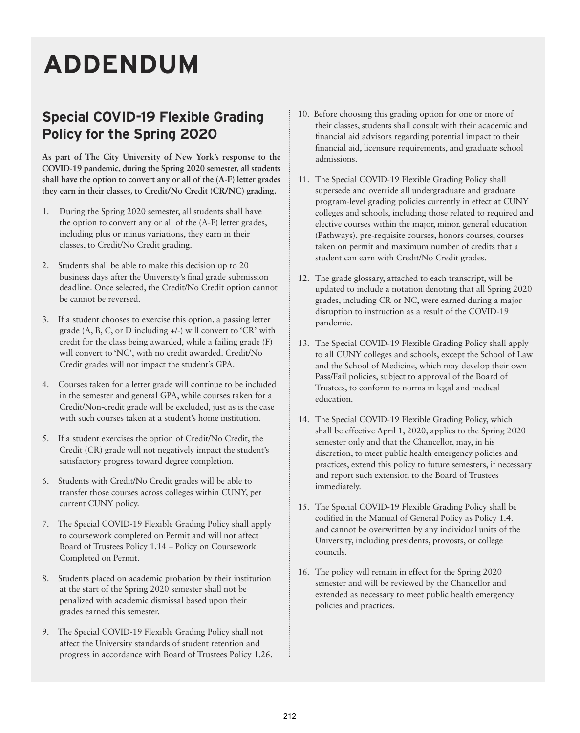# **ADDENDUM**

# **Special COVID-19 Flexible Grading Policy for the Spring 2020**

**As part of The City University of New York's response to the COVID-19 pandemic, during the Spring 2020 semester, all students shall have the option to convert any or all of the (A-F) letter grades they earn in their classes, to Credit/No Credit (CR/NC) grading.**

- 1. During the Spring 2020 semester, all students shall have the option to convert any or all of the (A-F) letter grades, including plus or minus variations, they earn in their classes, to Credit/No Credit grading.
- 2. Students shall be able to make this decision up to 20 business days after the University's final grade submission deadline. Once selected, the Credit/No Credit option cannot be cannot be reversed.
- 3. If a student chooses to exercise this option, a passing letter grade (A, B, C, or D including +/-) will convert to 'CR' with credit for the class being awarded, while a failing grade (F) will convert to 'NC', with no credit awarded. Credit/No Credit grades will not impact the student's GPA.
- 4. Courses taken for a letter grade will continue to be included in the semester and general GPA, while courses taken for a Credit/Non-credit grade will be excluded, just as is the case with such courses taken at a student's home institution.
- 5. If a student exercises the option of Credit/No Credit, the Credit (CR) grade will not negatively impact the student's satisfactory progress toward degree completion.
- 6. Students with Credit/No Credit grades will be able to transfer those courses across colleges within CUNY, per current CUNY policy.
- 7. The Special COVID-19 Flexible Grading Policy shall apply to coursework completed on Permit and will not affect Board of Trustees Policy 1.14 – Policy on Coursework Completed on Permit.
- 8. Students placed on academic probation by their institution at the start of the Spring 2020 semester shall not be penalized with academic dismissal based upon their grades earned this semester.
- 9. The Special COVID-19 Flexible Grading Policy shall not affect the University standards of student retention and progress in accordance with Board of Trustees Policy 1.26.
- 10. Before choosing this grading option for one or more of their classes, students shall consult with their academic and financial aid advisors regarding potential impact to their financial aid, licensure requirements, and graduate school admissions.
- 11. The Special COVID-19 Flexible Grading Policy shall supersede and override all undergraduate and graduate program-level grading policies currently in effect at CUNY colleges and schools, including those related to required and elective courses within the major, minor, general education (Pathways), pre-requisite courses, honors courses, courses taken on permit and maximum number of credits that a student can earn with Credit/No Credit grades.
- 12. The grade glossary, attached to each transcript, will be updated to include a notation denoting that all Spring 2020 grades, including CR or NC, were earned during a major disruption to instruction as a result of the COVID-19 pandemic.
- 13. The Special COVID-19 Flexible Grading Policy shall apply to all CUNY colleges and schools, except the School of Law and the School of Medicine, which may develop their own Pass/Fail policies, subject to approval of the Board of Trustees, to conform to norms in legal and medical education.
- 14. The Special COVID-19 Flexible Grading Policy, which shall be effective April 1, 2020, applies to the Spring 2020 semester only and that the Chancellor, may, in his discretion, to meet public health emergency policies and practices, extend this policy to future semesters, if necessary and report such extension to the Board of Trustees immediately.
- 15. The Special COVID-19 Flexible Grading Policy shall be codified in the Manual of General Policy as Policy 1.4. and cannot be overwritten by any individual units of the University, including presidents, provosts, or college councils.
- 16. The policy will remain in effect for the Spring 2020 semester and will be reviewed by the Chancellor and extended as necessary to meet public health emergency policies and practices.